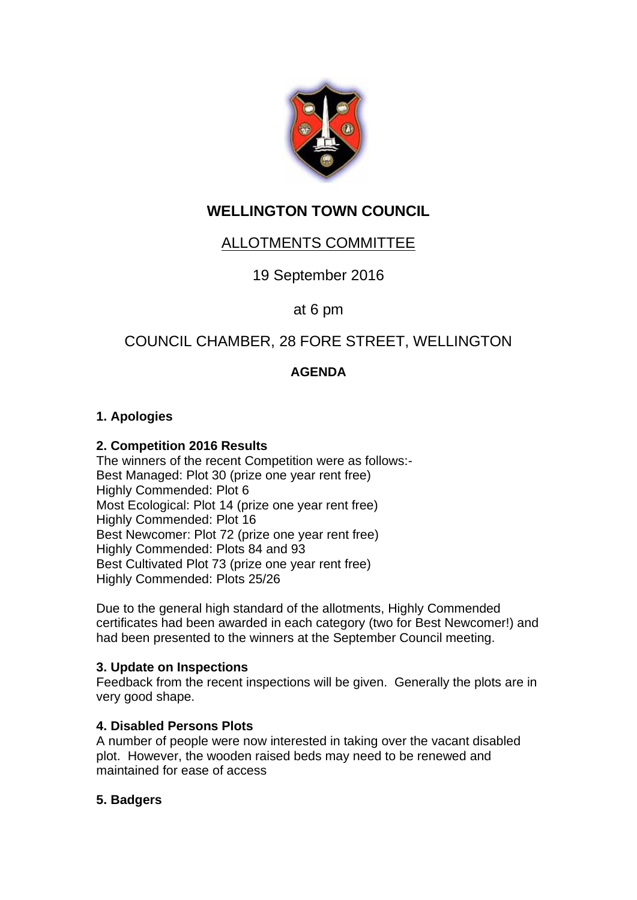

# **WELLINGTON TOWN COUNCIL**

## ALLOTMENTS COMMITTEE

19 September 2016

## at 6 pm

## COUNCIL CHAMBER, 28 FORE STREET, WELLINGTON

## **AGENDA**

#### **1. Apologies**

#### **2. Competition 2016 Results**

The winners of the recent Competition were as follows:- Best Managed: Plot 30 (prize one year rent free) Highly Commended: Plot 6 Most Ecological: Plot 14 (prize one year rent free) Highly Commended: Plot 16 Best Newcomer: Plot 72 (prize one year rent free) Highly Commended: Plots 84 and 93 Best Cultivated Plot 73 (prize one year rent free) Highly Commended: Plots 25/26

Due to the general high standard of the allotments, Highly Commended certificates had been awarded in each category (two for Best Newcomer!) and had been presented to the winners at the September Council meeting.

#### **3. Update on Inspections**

Feedback from the recent inspections will be given. Generally the plots are in very good shape.

#### **4. Disabled Persons Plots**

A number of people were now interested in taking over the vacant disabled plot. However, the wooden raised beds may need to be renewed and maintained for ease of access

#### **5. Badgers**